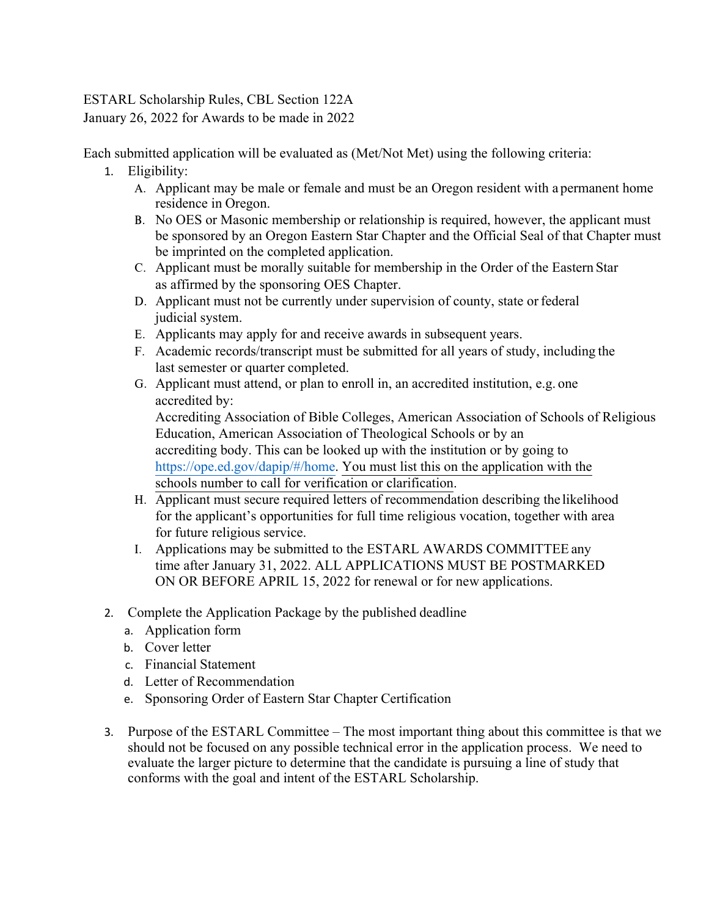### ESTARL Scholarship Rules, CBL Section 122A January 26, 2022 for Awards to be made in 2022

Each submitted application will be evaluated as (Met/Not Met) using the following criteria:

- 1. Eligibility:
	- A. Applicant may be male or female and must be an Oregon resident with a permanent home residence in Oregon.
	- B. No OES or Masonic membership or relationship is required, however, the applicant must be sponsored by an Oregon Eastern Star Chapter and the Official Seal of that Chapter must be imprinted on the completed application.
	- C. Applicant must be morally suitable for membership in the Order of the Eastern Star as affirmed by the sponsoring OES Chapter.
	- D. Applicant must not be currently under supervision of county, state or federal judicial system.
	- E. Applicants may apply for and receive awards in subsequent years.
	- F. Academic records/transcript must be submitted for all years of study, including the last semester or quarter completed.
	- G. Applicant must attend, or plan to enroll in, an accredited institution, e.g. one accredited by:

Accrediting Association of Bible Colleges, American Association of Schools of Religious Education, American Association of Theological Schools or by an accrediting body. This can be looked up with the institution or by going to https://ope.ed.gov/dapip/#/home. You must list this on the application with the schools number to call for verification or clarification.

- H. Applicant must secure required letters of recommendation describing the likelihood for the applicant's opportunities for full time religious vocation, together with area for future religious service.
- I. Applications may be submitted to the ESTARL AWARDS COMMITTEE any time after January 31, 2022. ALL APPLICATIONS MUST BE POSTMARKED ON OR BEFORE APRIL 15, 2022 for renewal or for new applications.
- 2. Complete the Application Package by the published deadline
	- a. Application form
	- b. Cover letter
	- c. Financial Statement
	- d. Letter of Recommendation
	- e. Sponsoring Order of Eastern Star Chapter Certification
- 3. Purpose of the ESTARL Committee The most important thing about this committee is that we should not be focused on any possible technical error in the application process. We need to evaluate the larger picture to determine that the candidate is pursuing a line of study that conforms with the goal and intent of the ESTARL Scholarship.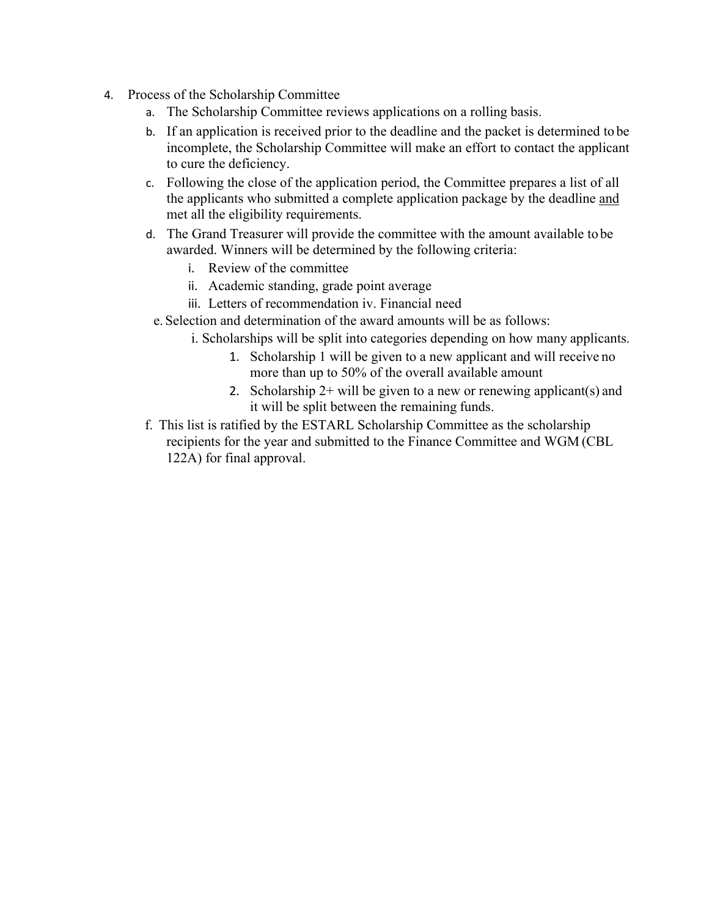- 4. Process of the Scholarship Committee
	- a. The Scholarship Committee reviews applications on a rolling basis.
	- b. If an application is received prior to the deadline and the packet is determined to be incomplete, the Scholarship Committee will make an effort to contact the applicant to cure the deficiency.
	- c. Following the close of the application period, the Committee prepares a list of all the applicants who submitted a complete application package by the deadline and met all the eligibility requirements.
	- d. The Grand Treasurer will provide the committee with the amount available to be awarded. Winners will be determined by the following criteria:
		- i. Review of the committee
		- ii. Academic standing, grade point average
		- iii. Letters of recommendation iv. Financial need
		- e. Selection and determination of the award amounts will be as follows:
			- i. Scholarships will be split into categories depending on how many applicants.
				- 1. Scholarship 1 will be given to a new applicant and will receive no more than up to 50% of the overall available amount
				- 2. Scholarship  $2+$  will be given to a new or renewing applicant(s) and it will be split between the remaining funds.
	- f. This list is ratified by the ESTARL Scholarship Committee as the scholarship recipients for the year and submitted to the Finance Committee and WGM (CBL 122A) for final approval.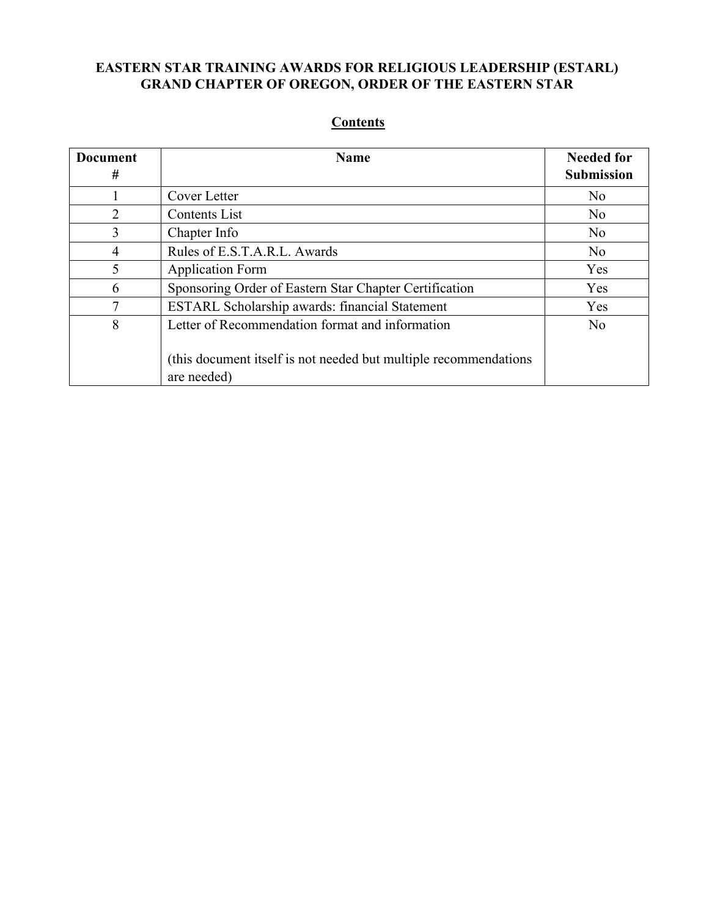# **EASTERN STAR TRAINING AWARDS FOR RELIGIOUS LEADERSHIP (ESTARL) GRAND CHAPTER OF OREGON, ORDER OF THE EASTERN STAR**

#### **Document # Name Needed for Needed for Submission** 1 Cover Letter No 2 Contents List No 3 Chapter Info No 4 Rules of E.S.T.A.R.L. Awards No 5 Application Form Yes 6 Sponsoring Order of Eastern Star Chapter Certification Yes 7 ESTARL Scholarship awards: financial Statement Yes 8 Letter of Recommendation format and information (this document itself is not needed but multiple recommendations are needed) No

#### **Contents**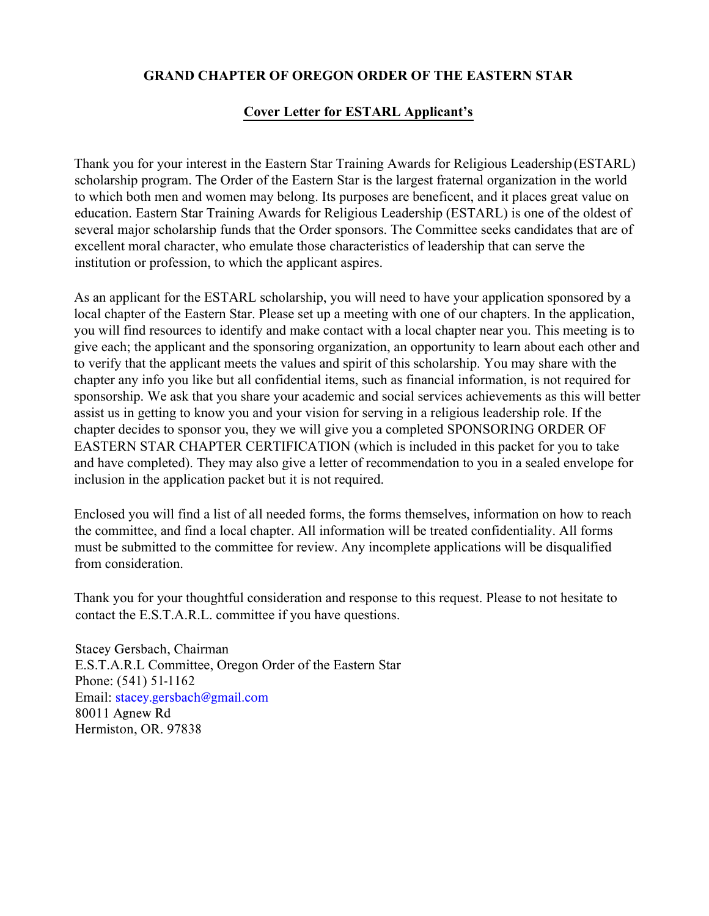#### **GRAND CHAPTER OF OREGON ORDER OF THE EASTERN STAR**

# **Cover Letter for ESTARL Applicant's**

Thank you for your interest in the Eastern Star Training Awards for Religious Leadership (ESTARL) scholarship program. The Order of the Eastern Star is the largest fraternal organization in the world to which both men and women may belong. Its purposes are beneficent, and it places great value on education. Eastern Star Training Awards for Religious Leadership (ESTARL) is one of the oldest of several major scholarship funds that the Order sponsors. The Committee seeks candidates that are of excellent moral character, who emulate those characteristics of leadership that can serve the institution or profession, to which the applicant aspires.

As an applicant for the ESTARL scholarship, you will need to have your application sponsored by a local chapter of the Eastern Star. Please set up a meeting with one of our chapters. In the application, you will find resources to identify and make contact with a local chapter near you. This meeting is to give each; the applicant and the sponsoring organization, an opportunity to learn about each other and to verify that the applicant meets the values and spirit of this scholarship. You may share with the chapter any info you like but all confidential items, such as financial information, is not required for sponsorship. We ask that you share your academic and social services achievements as this will better assist us in getting to know you and your vision for serving in a religious leadership role. If the chapter decides to sponsor you, they we will give you a completed SPONSORING ORDER OF EASTERN STAR CHAPTER CERTIFICATION (which is included in this packet for you to take and have completed). They may also give a letter of recommendation to you in a sealed envelope for inclusion in the application packet but it is not required.

Enclosed you will find a list of all needed forms, the forms themselves, information on how to reach the committee, and find a local chapter. All information will be treated confidentiality. All forms must be submitted to the committee for review. Any incomplete applications will be disqualified from consideration.

Thank you for your thoughtful consideration and response to this request. Please to not hesitate to contact the E.S.T.A.R.L. committee if you have questions.

Stacey Gersbach, Chairman E.S.T.A.R.L Committee, Oregon Order of the Eastern Star Phone: (541) 51-1162 Email: stacey.gersbach@gmail.com 80011 Agnew Rd Hermiston, OR. 97838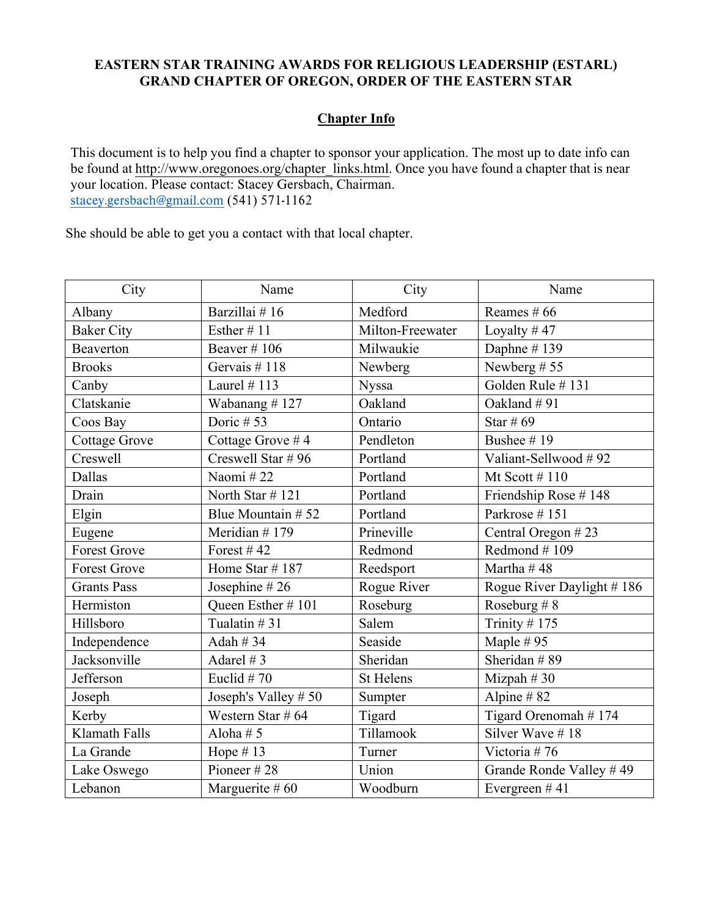### **EASTERN STAR TRAINING AWARDS FOR RELIGIOUS LEADERSHIP (ESTARL) GRAND CHAPTER OF OREGON, ORDER OF THE EASTERN STAR**

# **Chapter Info**

This document is to help you find a chapter to sponsor your application. The most up to date info can be found at http://www.oregonoes.org/chapter\_links.html. Once you have found a chapter that is near your location. Please contact: Stacey Gersbach, Chairman. stacey.gersbach@gmail.com (541) 571-1162

She should be able to get you a contact with that local chapter.

| City                 | Name                | City             | Name                      |
|----------------------|---------------------|------------------|---------------------------|
| Albany               | Barzillai #16       | Medford          | Reames $# 66$             |
| <b>Baker City</b>    | Esther $\#$ 11      | Milton-Freewater | Loyalty # $47$            |
| Beaverton            | Beaver $\#$ 106     | Milwaukie        | Daphne #139               |
| <b>Brooks</b>        | Gervais # $118$     | Newberg          | Newberg #55               |
| Canby                | Laurel $# 113$      | <b>Nyssa</b>     | Golden Rule #131          |
| Clatskanie           | Wabanang #127       | Oakland          | Oakland #91               |
| Coos Bay             | Doric # $53$        | Ontario          | Star # $69$               |
| <b>Cottage Grove</b> | Cottage Grove #4    | Pendleton        | Bushee #19                |
| Creswell             | Creswell Star #96   | Portland         | Valiant-Sellwood #92      |
| Dallas               | Naomi#22            | Portland         | Mt Scott $#110$           |
| Drain                | North Star #121     | Portland         | Friendship Rose #148      |
| Elgin                | Blue Mountain #52   | Portland         | Parkrose #151             |
| Eugene               | Meridian #179       | Prineville       | Central Oregon #23        |
| <b>Forest Grove</b>  | Forest #42          | Redmond          | Redmond #109              |
| <b>Forest Grove</b>  | Home Star #187      | Reedsport        | Martha #48                |
| <b>Grants Pass</b>   | Josephine #26       | Rogue River      | Rogue River Daylight #186 |
| Hermiston            | Queen Esther #101   | Roseburg         | Roseburg $# 8$            |
| Hillsboro            | Tualatin $#31$      | Salem            | Trinity # $175$           |
| Independence         | Adah $#34$          | Seaside          | Maple $# 95$              |
| Jacksonville         | Adarel # $3$        | Sheridan         | Sheridan $#89$            |
| Jefferson            | Euclid $#70$        | <b>St Helens</b> | Mizpah $#30$              |
| Joseph               | Joseph's Valley #50 | Sumpter          | Alpine $#82$              |
| Kerby                | Western Star # 64   | Tigard           | Tigard Orenomah #174      |
| <b>Klamath Falls</b> | Aloha $# 5$         | Tillamook        | Silver Wave #18           |
| La Grande            | Hope #13            | Turner           | Victoria #76              |
| Lake Oswego          | Pioneer #28         | Union            | Grande Ronde Valley #49   |
| Lebanon              | Marguerite $#60$    | Woodburn         | Evergreen $#41$           |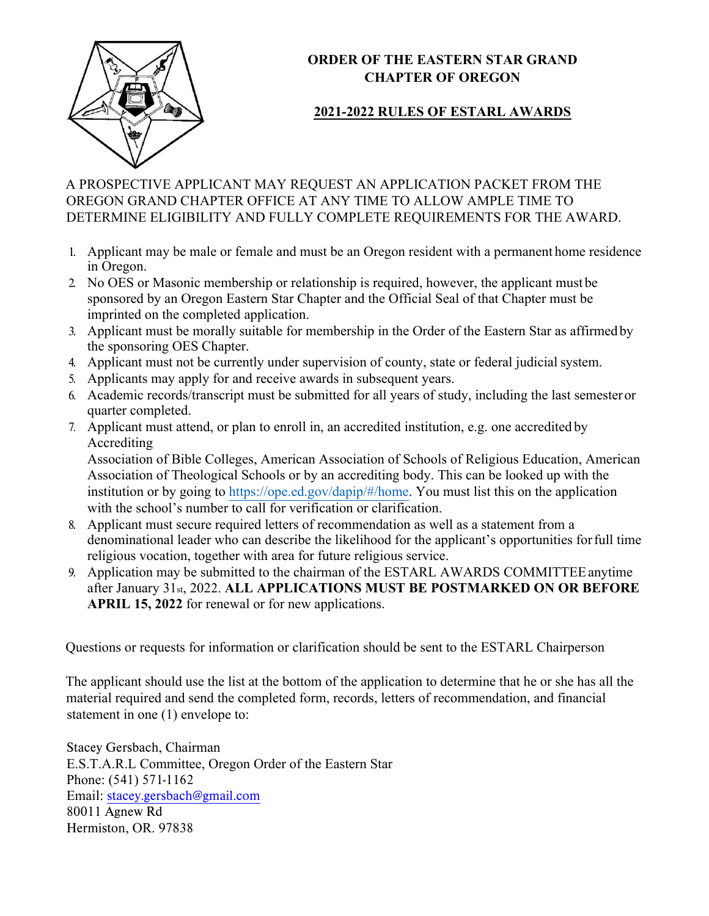

# **ORDER OF THE EASTERN STAR GRAND CHAPTER OF OREGON**

# **202**1**-202**2 **RULES OF ESTARL AWARDS**

### A PROSPECTIVE APPLICANT MAY REQUEST AN APPLICATION PACKET FROM THE OREGON GRAND CHAPTER OFFICE AT ANY TIME TO ALLOW AMPLE TIME TO DETERMINE ELIGIBILITY AND FULLY COMPLETE REQUIREMENTS FOR THE AWARD.

- 1. Applicant may be male or female and must be an Oregon resident with a permanent home residence in Oregon.
- 2. No OES or Masonic membership or relationship is required, however, the applicant must be sponsored by an Oregon Eastern Star Chapter and the Official Seal of that Chapter must be imprinted on the completed application.
- 3. Applicant must be morally suitable for membership in the Order of the Eastern Star as affirmed by the sponsoring OES Chapter.
- 4. Applicant must not be currently under supervision of county, state or federal judicial system.
- 5. Applicants may apply for and receive awards in subsequent years.
- 6. Academic records/transcript must be submitted for all years of study, including the last semester or quarter completed.
- 7. Applicant must attend, or plan to enroll in, an accredited institution, e.g. one accredited by Accrediting

Association of Bible Colleges, American Association of Schools of Religious Education, American Association of Theological Schools or by an accrediting body. This can be looked up with the institution or by going to https://ope.ed.gov/dapip/#/home. You must list this on the application with the school's number to call for verification or clarification.

- 8. Applicant must secure required letters of recommendation as well as a statement from a denominational leader who can describe the likelihood for the applicant's opportunities for full time religious vocation, together with area for future religious service.
- 9. Application may be submitted to the chairman of the ESTARL AWARDS COMMITTEE anytime after January 31st, 2022. **ALL APPLICATIONS MUST BE POSTMARKED ON OR BEFORE APRIL 15, 202**2 for renewal or for new applications.

Questions or requests for information or clarification should be sent to the ESTARL Chairperson

The applicant should use the list at the bottom of the application to determine that he or she has all the material required and send the completed form, records, letters of recommendation, and financial statement in one (1) envelope to:

Stacey Gersbach, Chairman E.S.T.A.R.L Committee, Oregon Order of the Eastern Star Phone: (541) 571-1162 Email: stacey.gersbach@gmail.com 80011 Agnew Rd Hermiston, OR. 97838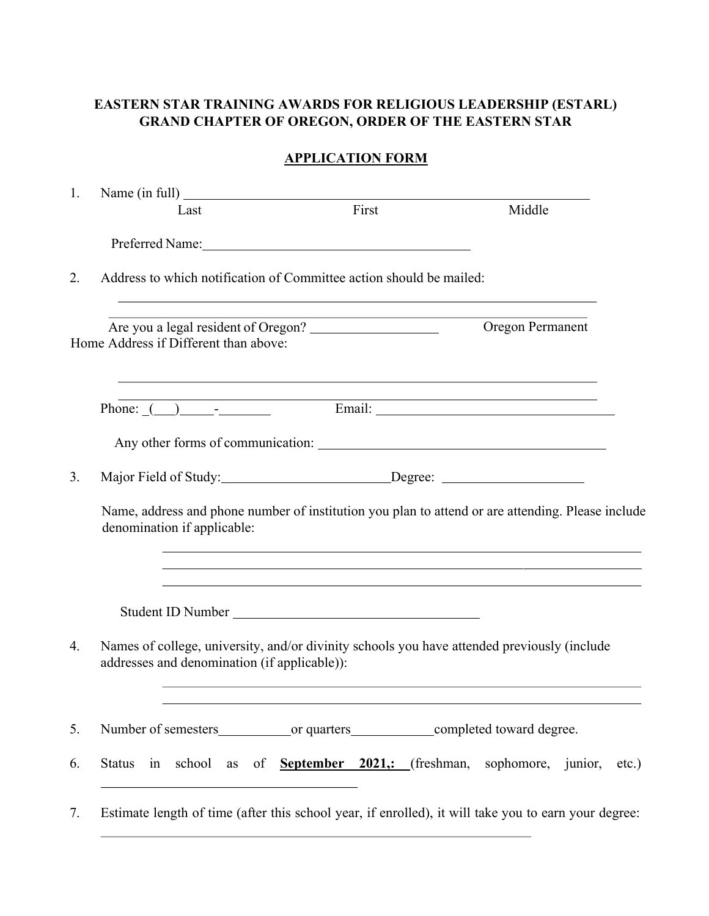#### **EASTERN STAR TRAINING AWARDS FOR RELIGIOUS LEADERSHIP (ESTARL) GRAND CHAPTER OF OREGON, ORDER OF THE EASTERN STAR**

### **APPLICATION FORM**

| 1. |                                                                                                                                             |                                                                                                                  |                  |  |
|----|---------------------------------------------------------------------------------------------------------------------------------------------|------------------------------------------------------------------------------------------------------------------|------------------|--|
|    | Last                                                                                                                                        | First                                                                                                            | Middle           |  |
|    |                                                                                                                                             |                                                                                                                  |                  |  |
| 2. | Address to which notification of Committee action should be mailed:                                                                         |                                                                                                                  |                  |  |
|    | Are you a legal resident of Oregon?<br>Home Address if Different than above:                                                                |                                                                                                                  | Oregon Permanent |  |
|    |                                                                                                                                             | ,我们也不会有什么。""我们的人,我们也不会有什么?""我们的人,我们也不会有什么?""我们的人,我们也不会有什么?""我们的人,我们也不会有什么?""我们的人                                 |                  |  |
|    | Any other forms of communication:                                                                                                           |                                                                                                                  |                  |  |
| 3. |                                                                                                                                             |                                                                                                                  |                  |  |
|    | Name, address and phone number of institution you plan to attend or are attending. Please include<br>denomination if applicable:            | ,我们也不会有什么。""我们的人,我们也不会有什么?""我们的人,我们也不会有什么?""我们的人,我们也不会有什么?""我们的人,我们也不会有什么?""我们的人                                 |                  |  |
|    |                                                                                                                                             | and the control of the control of the control of the control of the control of the control of the control of the |                  |  |
| 4. | Names of college, university, and/or divinity schools you have attended previously (include<br>addresses and denomination (if applicable)): |                                                                                                                  |                  |  |
| 5. |                                                                                                                                             |                                                                                                                  |                  |  |
| 6. | Status in school as of <b>September 2021</b> ,: (freshman, sophomore, junior, etc.)                                                         |                                                                                                                  |                  |  |
| 7. | Estimate length of time (after this school year, if enrolled), it will take you to earn your degree:                                        |                                                                                                                  |                  |  |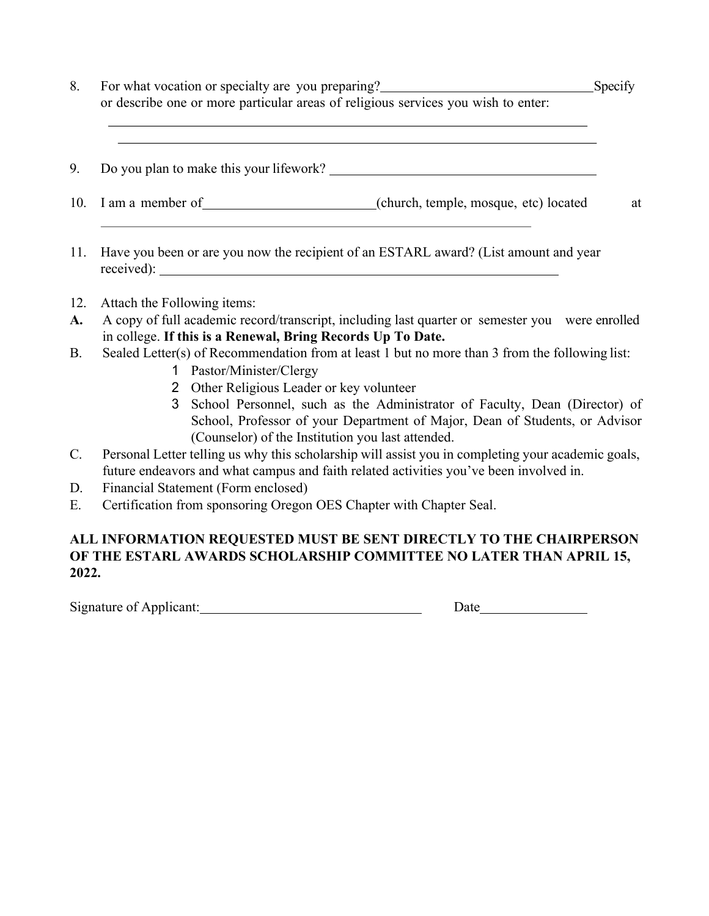| For what vocation or specialty are you preparing?                                 | Specify |
|-----------------------------------------------------------------------------------|---------|
| or describe one or more particular areas of religious services you wish to enter. |         |
|                                                                                   |         |

| 9. Do you plan to make this your lifework? |  |
|--------------------------------------------|--|
|--------------------------------------------|--|

- 10. I am a member of (church, temple, mosque, etc) located at
- 11. Have you been or are you now the recipient of an ESTARL award? (List amount and year received):
- 12. Attach the Following items:
- **A.** A copy of full academic record/transcript, including last quarter or semester you were enrolled in college. **If this is a Renewal, Bring Records Up To Date.**
- B. Sealed Letter(s) of Recommendation from at least 1 but no more than 3 from the following list:
	- 1 Pastor/Minister/Clergy
	- 2 Other Religious Leader or key volunteer
	- 3 School Personnel, such as the Administrator of Faculty, Dean (Director) of School, Professor of your Department of Major, Dean of Students, or Advisor (Counselor) of the Institution you last attended.
- C. Personal Letter telling us why this scholarship will assist you in completing your academic goals, future endeavors and what campus and faith related activities you've been involved in.
- D. Financial Statement (Form enclosed)
- E. Certification from sponsoring Oregon OES Chapter with Chapter Seal.

### **ALL INFORMATION REQUESTED MUST BE SENT DIRECTLY TO THE CHAIRPERSON OF THE ESTARL AWARDS SCHOLARSHIP COMMITTEE NO LATER THAN APRIL 15, 202**2**.**

Signature of Applicant: Date Date Date Date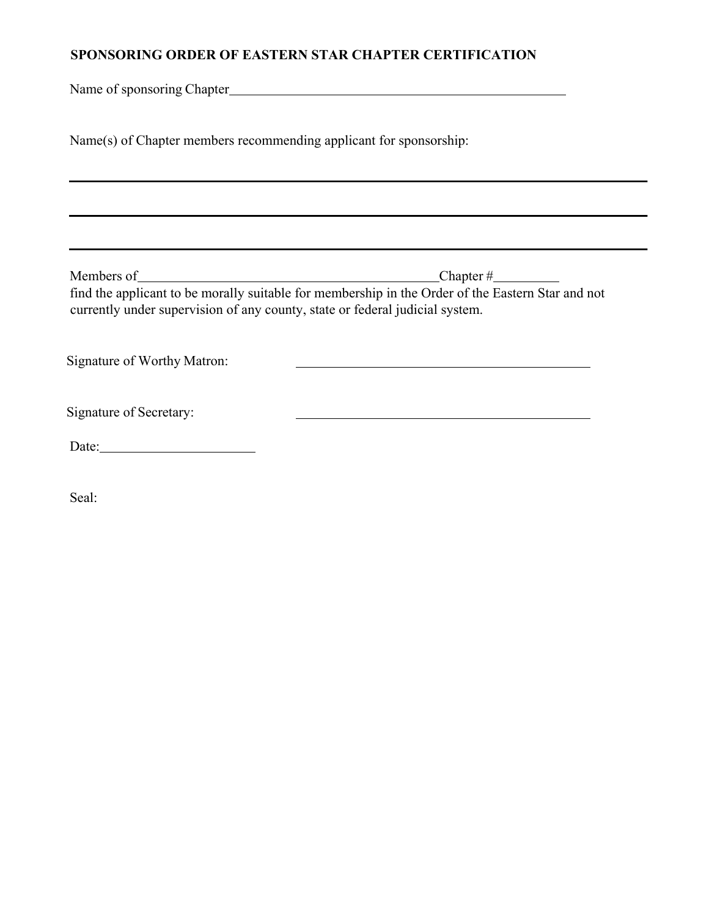#### **SPONSORING ORDER OF EASTERN STAR CHAPTER CERTIFICATION**

Name of sponsoring Chapter

Name(s) of Chapter members recommending applicant for sponsorship:

Members of Chapter #

<u> 1989 - Johann Barn, fransk politik (d. 1989)</u>

find the applicant to be morally suitable for membership in the Order of the Eastern Star and not currently under supervision of any county, state or federal judicial system.

Signature of Worthy Matron:

Signature of Secretary:

Date:

Seal: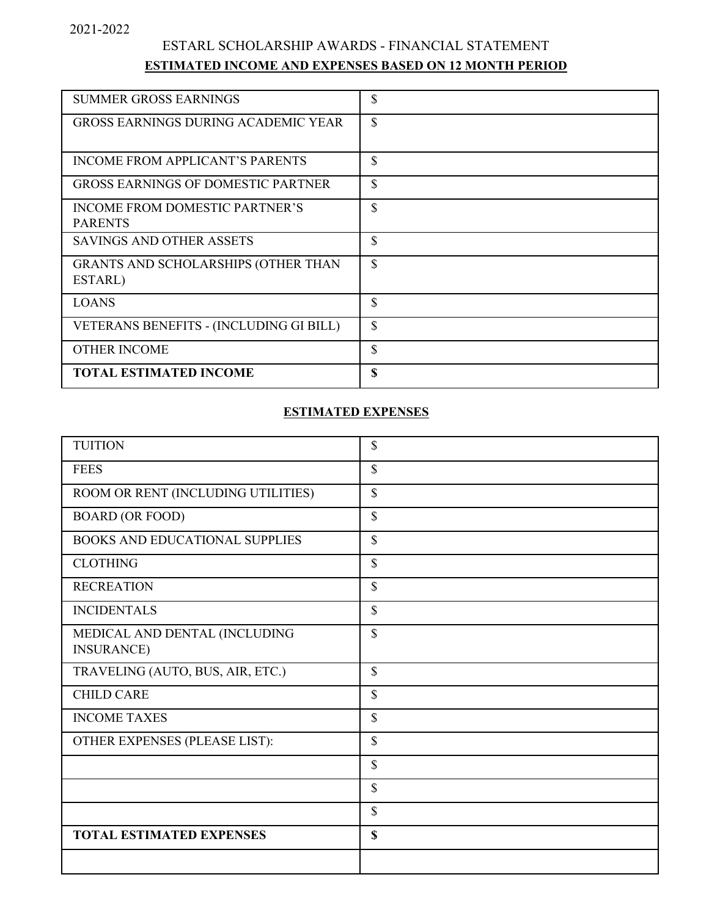# ESTARL SCHOLARSHIP AWARDS - FINANCIAL STATEMENT **ESTIMATED INCOME AND EXPENSES BASED ON 12 MONTH PERIOD**

| <b>SUMMER GROSS EARNINGS</b><br><b>GROSS EARNINGS DURING ACADEMIC YEAR</b> | \$<br>\$ |
|----------------------------------------------------------------------------|----------|
|                                                                            |          |
| <b>INCOME FROM APPLICANT'S PARENTS</b>                                     | \$       |
| <b>GROSS EARNINGS OF DOMESTIC PARTNER</b>                                  | \$       |
| INCOME FROM DOMESTIC PARTNER'S<br><b>PARENTS</b>                           | \$       |
| SAVINGS AND OTHER ASSETS                                                   | \$       |
| GRANTS AND SCHOLARSHIPS (OTHER THAN<br>ESTARL)                             | \$       |
| <b>LOANS</b>                                                               | \$       |
| VETERANS BENEFITS - (INCLUDING GI BILL)                                    | \$       |
| <b>OTHER INCOME</b>                                                        | \$       |
| <b>TOTAL ESTIMATED INCOME</b>                                              | \$       |

#### **ESTIMATED EXPENSES**

| <b>TUITION</b>                                     | \$          |
|----------------------------------------------------|-------------|
| <b>FEES</b>                                        | \$          |
| ROOM OR RENT (INCLUDING UTILITIES)                 | \$          |
| <b>BOARD (OR FOOD)</b>                             | \$          |
| <b>BOOKS AND EDUCATIONAL SUPPLIES</b>              | \$          |
| <b>CLOTHING</b>                                    | \$          |
| <b>RECREATION</b>                                  | \$          |
| <b>INCIDENTALS</b>                                 | \$          |
| MEDICAL AND DENTAL (INCLUDING<br><b>INSURANCE)</b> | $\mathbf S$ |
| TRAVELING (AUTO, BUS, AIR, ETC.)                   | \$          |
| <b>CHILD CARE</b>                                  | \$          |
| <b>INCOME TAXES</b>                                | \$          |
| OTHER EXPENSES (PLEASE LIST):                      | \$          |
|                                                    | \$          |
|                                                    | \$          |
|                                                    | \$          |
| <b>TOTAL ESTIMATED EXPENSES</b>                    | \$          |
|                                                    |             |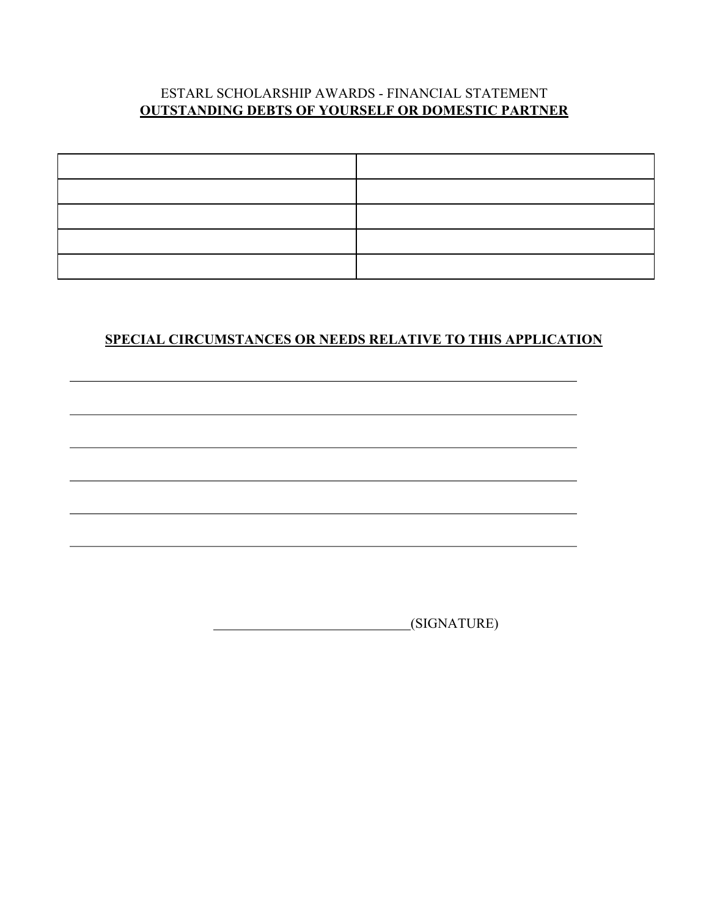#### ESTARL SCHOLARSHIP AWARDS - FINANCIAL STATEMENT **OUTSTANDING DEBTS OF YOURSELF OR DOMESTIC PARTNER**



# **SPECIAL CIRCUMSTANCES OR NEEDS RELATIVE TO THIS APPLICATION**

(SIGNATURE)